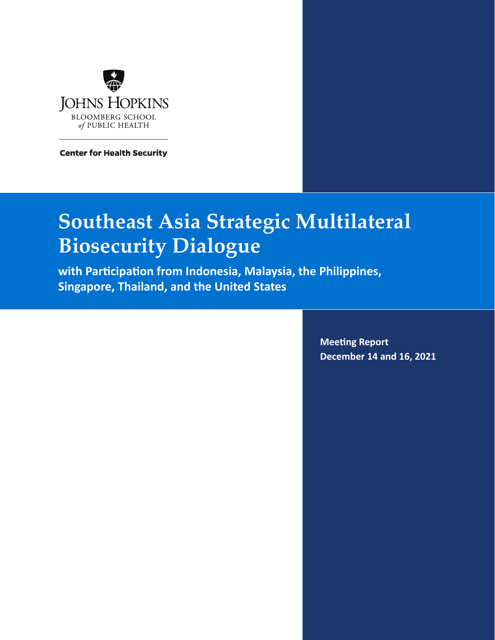

**Center for Health Security** 

# **Southeast Asia Strategic Multilateral Biosecurity Dialogue**

**with Participation from Indonesia, Malaysia, the Philippines, Singapore, Thailand, and the United States**

> **Meeting Report December 14 and 16, 2021**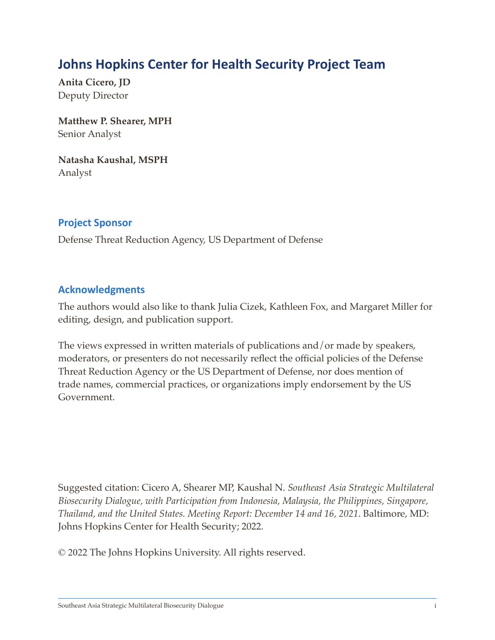### **Johns Hopkins Center for Health Security Project Team**

**Anita Cicero, JD** Deputy Director

**Matthew P. Shearer, MPH** Senior Analyst

**Natasha Kaushal, MSPH** Analyst

#### **Project Sponsor**

Defense Threat Reduction Agency, US Department of Defense

#### **Acknowledgments**

The authors would also like to thank Julia Cizek, Kathleen Fox, and Margaret Miller for editing, design, and publication support.

The views expressed in written materials of publications and/or made by speakers, moderators, or presenters do not necessarily reflect the official policies of the Defense Threat Reduction Agency or the US Department of Defense, nor does mention of trade names, commercial practices, or organizations imply endorsement by the US Government.

Suggested citation: Cicero A, Shearer MP, Kaushal N. *Southeast Asia Strategic Multilateral Biosecurity Dialogue, with Participation from Indonesia, Malaysia, the Philippines, Singapore, Thailand, and the United States. Meeting Report: December 14 and 16, 2021*. Baltimore, MD: Johns Hopkins Center for Health Security; 2022.

© 2022 The Johns Hopkins University. All rights reserved.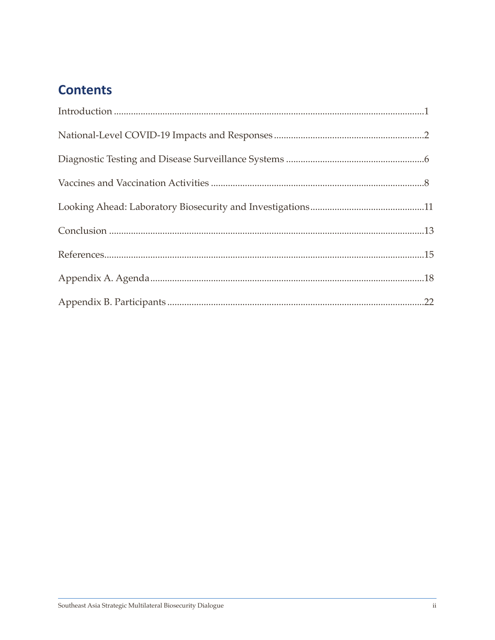## **Contents**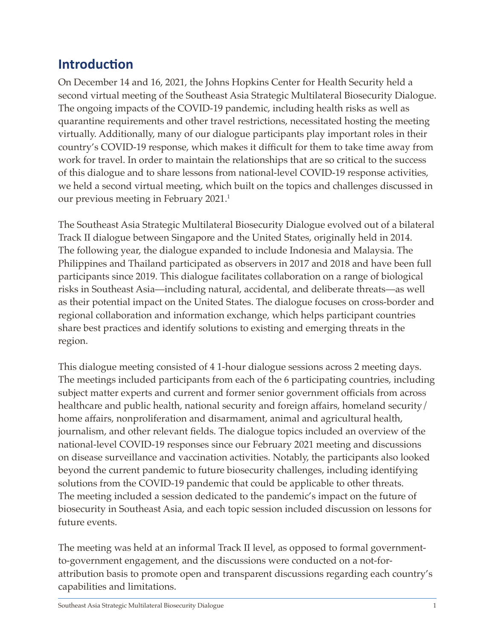### <span id="page-3-0"></span>**Introduction**

On December 14 and 16, 2021, the Johns Hopkins Center for Health Security held a second virtual meeting of the Southeast Asia Strategic Multilateral Biosecurity Dialogue. The ongoing impacts of the COVID-19 pandemic, including health risks as well as quarantine requirements and other travel restrictions, necessitated hosting the meeting virtually. Additionally, many of our dialogue participants play important roles in their country's COVID-19 response, which makes it difficult for them to take time away from work for travel. In order to maintain the relationships that are so critical to the success of this dialogue and to share lessons from national-level COVID-19 response activities, we held a second virtual meeting, which built on the topics and challenges discussed in our previous meeting in February 2021.<sup>1</sup>

The Southeast Asia Strategic Multilateral Biosecurity Dialogue evolved out of a bilateral Track II dialogue between Singapore and the United States, originally held in 2014. The following year, the dialogue expanded to include Indonesia and Malaysia. The Philippines and Thailand participated as observers in 2017 and 2018 and have been full participants since 2019. This dialogue facilitates collaboration on a range of biological risks in Southeast Asia—including natural, accidental, and deliberate threats—as well as their potential impact on the United States. The dialogue focuses on cross-border and regional collaboration and information exchange, which helps participant countries share best practices and identify solutions to existing and emerging threats in the region.

This dialogue meeting consisted of 4 1-hour dialogue sessions across 2 meeting days. The meetings included participants from each of the 6 participating countries, including subject matter experts and current and former senior government officials from across healthcare and public health, national security and foreign affairs, homeland security/ home affairs, nonproliferation and disarmament, animal and agricultural health, journalism, and other relevant fields. The dialogue topics included an overview of the national-level COVID-19 responses since our February 2021 meeting and discussions on disease surveillance and vaccination activities. Notably, the participants also looked beyond the current pandemic to future biosecurity challenges, including identifying solutions from the COVID-19 pandemic that could be applicable to other threats. The meeting included a session dedicated to the pandemic's impact on the future of biosecurity in Southeast Asia, and each topic session included discussion on lessons for future events.

The meeting was held at an informal Track II level, as opposed to formal governmentto-government engagement, and the discussions were conducted on a not-forattribution basis to promote open and transparent discussions regarding each country's capabilities and limitations.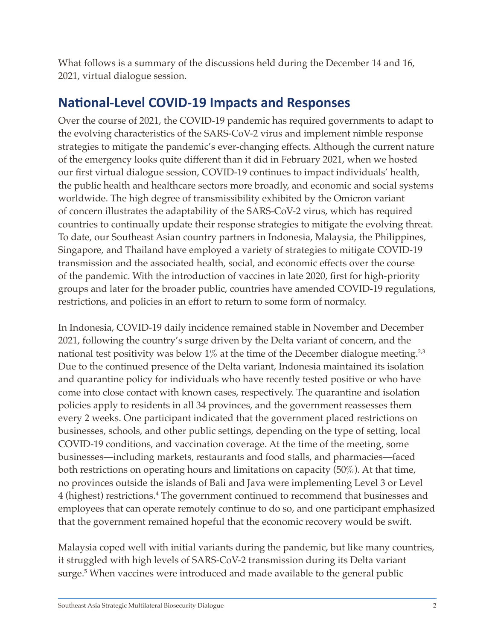What follows is a summary of the discussions held during the December 14 and 16, 2021, virtual dialogue session.

### <span id="page-4-0"></span>**National-Level COVID-19 Impacts and Responses**

Over the course of 2021, the COVID-19 pandemic has required governments to adapt to the evolving characteristics of the SARS-CoV-2 virus and implement nimble response strategies to mitigate the pandemic's ever-changing effects. Although the current nature of the emergency looks quite different than it did in February 2021, when we hosted our first virtual dialogue session, COVID-19 continues to impact individuals' health, the public health and healthcare sectors more broadly, and economic and social systems worldwide. The high degree of transmissibility exhibited by the Omicron variant of concern illustrates the adaptability of the SARS-CoV-2 virus, which has required countries to continually update their response strategies to mitigate the evolving threat. To date, our Southeast Asian country partners in Indonesia, Malaysia, the Philippines, Singapore, and Thailand have employed a variety of strategies to mitigate COVID-19 transmission and the associated health, social, and economic effects over the course of the pandemic. With the introduction of vaccines in late 2020, first for high-priority groups and later for the broader public, countries have amended COVID-19 regulations, restrictions, and policies in an effort to return to some form of normalcy.

In Indonesia, COVID-19 daily incidence remained stable in November and December 2021, following the country's surge driven by the Delta variant of concern, and the national test positivity was below  $1\%$  at the time of the December dialogue meeting.<sup>2,3</sup> Due to the continued presence of the Delta variant, Indonesia maintained its isolation and quarantine policy for individuals who have recently tested positive or who have come into close contact with known cases, respectively. The quarantine and isolation policies apply to residents in all 34 provinces, and the government reassesses them every 2 weeks. One participant indicated that the government placed restrictions on businesses, schools, and other public settings, depending on the type of setting, local COVID-19 conditions, and vaccination coverage. At the time of the meeting, some businesses—including markets, restaurants and food stalls, and pharmacies—faced both restrictions on operating hours and limitations on capacity (50%). At that time, no provinces outside the islands of Bali and Java were implementing Level 3 or Level 4 (highest) restrictions.4 The government continued to recommend that businesses and employees that can operate remotely continue to do so, and one participant emphasized that the government remained hopeful that the economic recovery would be swift.

Malaysia coped well with initial variants during the pandemic, but like many countries, it struggled with high levels of SARS-CoV-2 transmission during its Delta variant surge.5 When vaccines were introduced and made available to the general public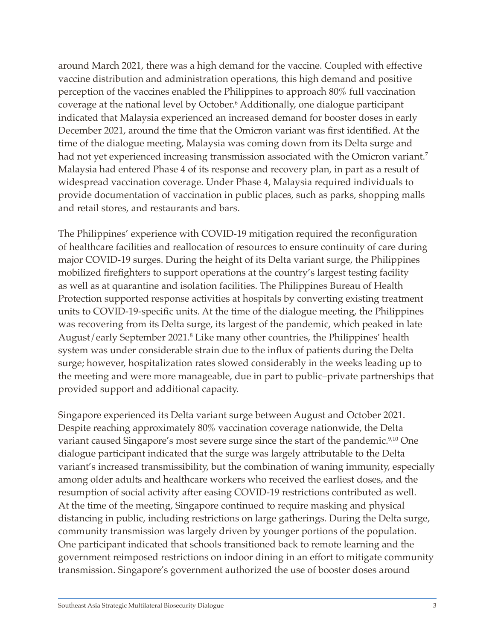around March 2021, there was a high demand for the vaccine. Coupled with effective vaccine distribution and administration operations, this high demand and positive perception of the vaccines enabled the Philippines to approach 80% full vaccination coverage at the national level by October.6 Additionally, one dialogue participant indicated that Malaysia experienced an increased demand for booster doses in early December 2021, around the time that the Omicron variant was first identified. At the time of the dialogue meeting, Malaysia was coming down from its Delta surge and had not yet experienced increasing transmission associated with the Omicron variant.<sup>7</sup> Malaysia had entered Phase 4 of its response and recovery plan, in part as a result of widespread vaccination coverage. Under Phase 4, Malaysia required individuals to provide documentation of vaccination in public places, such as parks, shopping malls and retail stores, and restaurants and bars.

The Philippines' experience with COVID-19 mitigation required the reconfiguration of healthcare facilities and reallocation of resources to ensure continuity of care during major COVID-19 surges. During the height of its Delta variant surge, the Philippines mobilized firefighters to support operations at the country's largest testing facility as well as at quarantine and isolation facilities. The Philippines Bureau of Health Protection supported response activities at hospitals by converting existing treatment units to COVID-19-specific units. At the time of the dialogue meeting, the Philippines was recovering from its Delta surge, its largest of the pandemic, which peaked in late August/early September 2021.<sup>8</sup> Like many other countries, the Philippines' health system was under considerable strain due to the influx of patients during the Delta surge; however, hospitalization rates slowed considerably in the weeks leading up to the meeting and were more manageable, due in part to public–private partnerships that provided support and additional capacity.

Singapore experienced its Delta variant surge between August and October 2021. Despite reaching approximately 80% vaccination coverage nationwide, the Delta variant caused Singapore's most severe surge since the start of the pandemic.<sup>9,10</sup> One dialogue participant indicated that the surge was largely attributable to the Delta variant's increased transmissibility, but the combination of waning immunity, especially among older adults and healthcare workers who received the earliest doses, and the resumption of social activity after easing COVID-19 restrictions contributed as well. At the time of the meeting, Singapore continued to require masking and physical distancing in public, including restrictions on large gatherings. During the Delta surge, community transmission was largely driven by younger portions of the population. One participant indicated that schools transitioned back to remote learning and the government reimposed restrictions on indoor dining in an effort to mitigate community transmission. Singapore's government authorized the use of booster doses around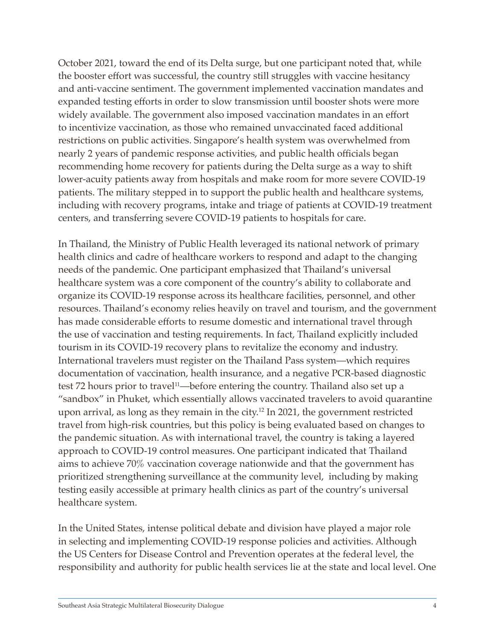October 2021, toward the end of its Delta surge, but one participant noted that, while the booster effort was successful, the country still struggles with vaccine hesitancy and anti-vaccine sentiment. The government implemented vaccination mandates and expanded testing efforts in order to slow transmission until booster shots were more widely available. The government also imposed vaccination mandates in an effort to incentivize vaccination, as those who remained unvaccinated faced additional restrictions on public activities. Singapore's health system was overwhelmed from nearly 2 years of pandemic response activities, and public health officials began recommending home recovery for patients during the Delta surge as a way to shift lower-acuity patients away from hospitals and make room for more severe COVID-19 patients. The military stepped in to support the public health and healthcare systems, including with recovery programs, intake and triage of patients at COVID-19 treatment centers, and transferring severe COVID-19 patients to hospitals for care.

In Thailand, the Ministry of Public Health leveraged its national network of primary health clinics and cadre of healthcare workers to respond and adapt to the changing needs of the pandemic. One participant emphasized that Thailand's universal healthcare system was a core component of the country's ability to collaborate and organize its COVID-19 response across its healthcare facilities, personnel, and other resources. Thailand's economy relies heavily on travel and tourism, and the government has made considerable efforts to resume domestic and international travel through the use of vaccination and testing requirements. In fact, Thailand explicitly included tourism in its COVID-19 recovery plans to revitalize the economy and industry. International travelers must register on the Thailand Pass system—which requires documentation of vaccination, health insurance, and a negative PCR-based diagnostic test 72 hours prior to travel<sup>11</sup>—before entering the country. Thailand also set up a "sandbox" in Phuket, which essentially allows vaccinated travelers to avoid quarantine upon arrival, as long as they remain in the city.12 In 2021, the government restricted travel from high-risk countries, but this policy is being evaluated based on changes to the pandemic situation. As with international travel, the country is taking a layered approach to COVID-19 control measures. One participant indicated that Thailand aims to achieve 70% vaccination coverage nationwide and that the government has prioritized strengthening surveillance at the community level, including by making testing easily accessible at primary health clinics as part of the country's universal healthcare system.

In the United States, intense political debate and division have played a major role in selecting and implementing COVID-19 response policies and activities. Although the US Centers for Disease Control and Prevention operates at the federal level, the responsibility and authority for public health services lie at the state and local level. One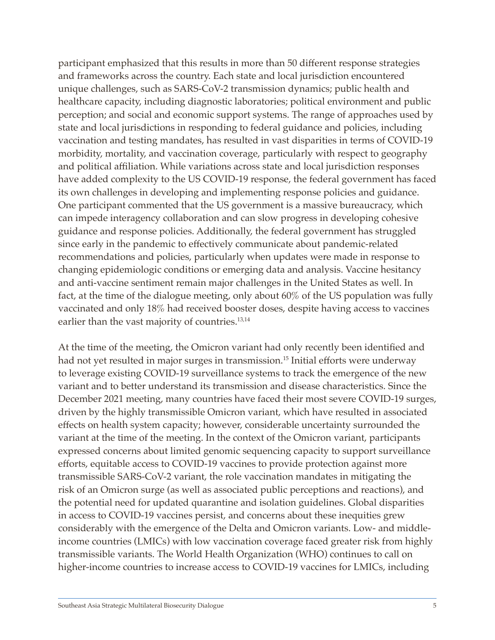participant emphasized that this results in more than 50 different response strategies and frameworks across the country. Each state and local jurisdiction encountered unique challenges, such as SARS-CoV-2 transmission dynamics; public health and healthcare capacity, including diagnostic laboratories; political environment and public perception; and social and economic support systems. The range of approaches used by state and local jurisdictions in responding to federal guidance and policies, including vaccination and testing mandates, has resulted in vast disparities in terms of COVID-19 morbidity, mortality, and vaccination coverage, particularly with respect to geography and political affiliation. While variations across state and local jurisdiction responses have added complexity to the US COVID-19 response, the federal government has faced its own challenges in developing and implementing response policies and guidance. One participant commented that the US government is a massive bureaucracy, which can impede interagency collaboration and can slow progress in developing cohesive guidance and response policies. Additionally, the federal government has struggled since early in the pandemic to effectively communicate about pandemic-related recommendations and policies, particularly when updates were made in response to changing epidemiologic conditions or emerging data and analysis. Vaccine hesitancy and anti-vaccine sentiment remain major challenges in the United States as well. In fact, at the time of the dialogue meeting, only about 60% of the US population was fully vaccinated and only 18% had received booster doses, despite having access to vaccines earlier than the vast majority of countries.<sup>13,14</sup>

At the time of the meeting, the Omicron variant had only recently been identified and had not yet resulted in major surges in transmission.<sup>15</sup> Initial efforts were underway to leverage existing COVID-19 surveillance systems to track the emergence of the new variant and to better understand its transmission and disease characteristics. Since the December 2021 meeting, many countries have faced their most severe COVID-19 surges, driven by the highly transmissible Omicron variant, which have resulted in associated effects on health system capacity; however, considerable uncertainty surrounded the variant at the time of the meeting. In the context of the Omicron variant, participants expressed concerns about limited genomic sequencing capacity to support surveillance efforts, equitable access to COVID-19 vaccines to provide protection against more transmissible SARS-CoV-2 variant, the role vaccination mandates in mitigating the risk of an Omicron surge (as well as associated public perceptions and reactions), and the potential need for updated quarantine and isolation guidelines. Global disparities in access to COVID-19 vaccines persist, and concerns about these inequities grew considerably with the emergence of the Delta and Omicron variants. Low- and middleincome countries (LMICs) with low vaccination coverage faced greater risk from highly transmissible variants. The World Health Organization (WHO) continues to call on higher-income countries to increase access to COVID-19 vaccines for LMICs, including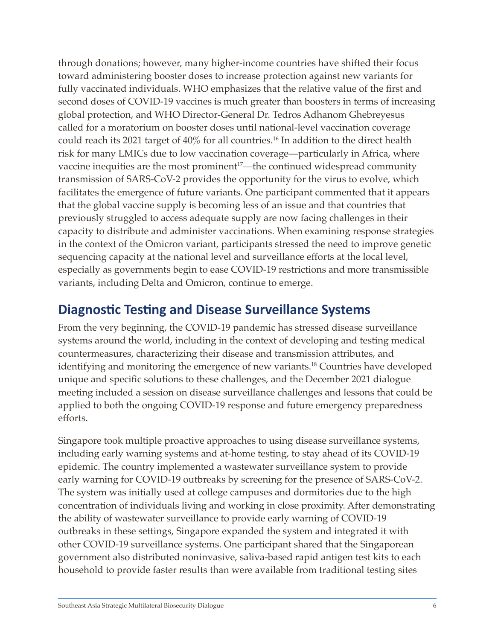through donations; however, many higher-income countries have shifted their focus toward administering booster doses to increase protection against new variants for fully vaccinated individuals. WHO emphasizes that the relative value of the first and second doses of COVID-19 vaccines is much greater than boosters in terms of increasing global protection, and WHO Director-General Dr. Tedros Adhanom Ghebreyesus called for a moratorium on booster doses until national-level vaccination coverage could reach its 2021 target of 40% for all countries.16 In addition to the direct health risk for many LMICs due to low vaccination coverage—particularly in Africa, where vaccine inequities are the most prominent<sup>17</sup>—the continued widespread community transmission of SARS-CoV-2 provides the opportunity for the virus to evolve, which facilitates the emergence of future variants. One participant commented that it appears that the global vaccine supply is becoming less of an issue and that countries that previously struggled to access adequate supply are now facing challenges in their capacity to distribute and administer vaccinations. When examining response strategies in the context of the Omicron variant, participants stressed the need to improve genetic sequencing capacity at the national level and surveillance efforts at the local level, especially as governments begin to ease COVID-19 restrictions and more transmissible variants, including Delta and Omicron, continue to emerge.

### <span id="page-8-0"></span>**Diagnostic Testing and Disease Surveillance Systems**

From the very beginning, the COVID-19 pandemic has stressed disease surveillance systems around the world, including in the context of developing and testing medical countermeasures, characterizing their disease and transmission attributes, and identifying and monitoring the emergence of new variants.<sup>18</sup> Countries have developed unique and specific solutions to these challenges, and the December 2021 dialogue meeting included a session on disease surveillance challenges and lessons that could be applied to both the ongoing COVID-19 response and future emergency preparedness efforts.

Singapore took multiple proactive approaches to using disease surveillance systems, including early warning systems and at-home testing, to stay ahead of its COVID-19 epidemic. The country implemented a wastewater surveillance system to provide early warning for COVID-19 outbreaks by screening for the presence of SARS-CoV-2. The system was initially used at college campuses and dormitories due to the high concentration of individuals living and working in close proximity. After demonstrating the ability of wastewater surveillance to provide early warning of COVID-19 outbreaks in these settings, Singapore expanded the system and integrated it with other COVID-19 surveillance systems. One participant shared that the Singaporean government also distributed noninvasive, saliva-based rapid antigen test kits to each household to provide faster results than were available from traditional testing sites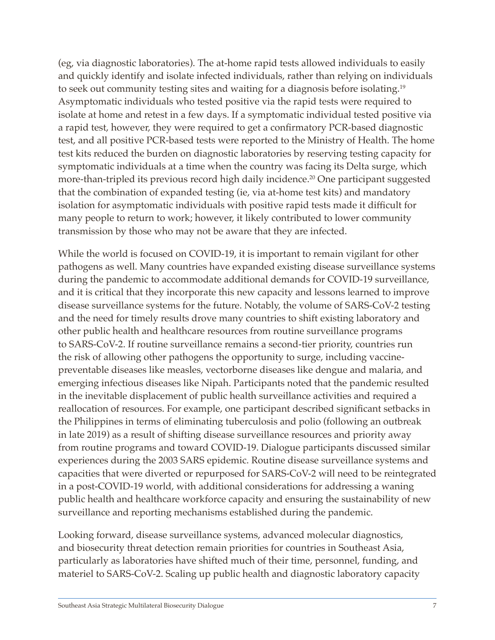(eg, via diagnostic laboratories). The at-home rapid tests allowed individuals to easily and quickly identify and isolate infected individuals, rather than relying on individuals to seek out community testing sites and waiting for a diagnosis before isolating.19 Asymptomatic individuals who tested positive via the rapid tests were required to isolate at home and retest in a few days. If a symptomatic individual tested positive via a rapid test, however, they were required to get a confirmatory PCR-based diagnostic test, and all positive PCR-based tests were reported to the Ministry of Health. The home test kits reduced the burden on diagnostic laboratories by reserving testing capacity for symptomatic individuals at a time when the country was facing its Delta surge, which more-than-tripled its previous record high daily incidence.<sup>20</sup> One participant suggested that the combination of expanded testing (ie, via at-home test kits) and mandatory isolation for asymptomatic individuals with positive rapid tests made it difficult for many people to return to work; however, it likely contributed to lower community transmission by those who may not be aware that they are infected.

While the world is focused on COVID-19, it is important to remain vigilant for other pathogens as well. Many countries have expanded existing disease surveillance systems during the pandemic to accommodate additional demands for COVID-19 surveillance, and it is critical that they incorporate this new capacity and lessons learned to improve disease surveillance systems for the future. Notably, the volume of SARS-CoV-2 testing and the need for timely results drove many countries to shift existing laboratory and other public health and healthcare resources from routine surveillance programs to SARS-CoV-2. If routine surveillance remains a second-tier priority, countries run the risk of allowing other pathogens the opportunity to surge, including vaccinepreventable diseases like measles, vectorborne diseases like dengue and malaria, and emerging infectious diseases like Nipah. Participants noted that the pandemic resulted in the inevitable displacement of public health surveillance activities and required a reallocation of resources. For example, one participant described significant setbacks in the Philippines in terms of eliminating tuberculosis and polio (following an outbreak in late 2019) as a result of shifting disease surveillance resources and priority away from routine programs and toward COVID-19. Dialogue participants discussed similar experiences during the 2003 SARS epidemic. Routine disease surveillance systems and capacities that were diverted or repurposed for SARS-CoV-2 will need to be reintegrated in a post-COVID-19 world, with additional considerations for addressing a waning public health and healthcare workforce capacity and ensuring the sustainability of new surveillance and reporting mechanisms established during the pandemic.

Looking forward, disease surveillance systems, advanced molecular diagnostics, and biosecurity threat detection remain priorities for countries in Southeast Asia, particularly as laboratories have shifted much of their time, personnel, funding, and materiel to SARS-CoV-2. Scaling up public health and diagnostic laboratory capacity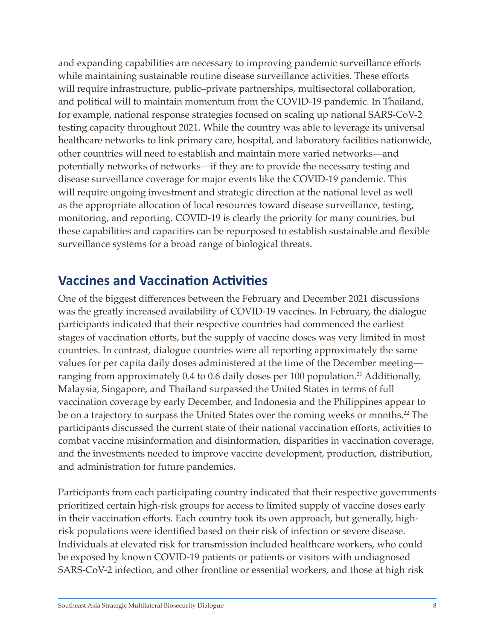and expanding capabilities are necessary to improving pandemic surveillance efforts while maintaining sustainable routine disease surveillance activities. These efforts will require infrastructure, public–private partnerships, multisectoral collaboration, and political will to maintain momentum from the COVID-19 pandemic. In Thailand, for example, national response strategies focused on scaling up national SARS-CoV-2 testing capacity throughout 2021. While the country was able to leverage its universal healthcare networks to link primary care, hospital, and laboratory facilities nationwide, other countries will need to establish and maintain more varied networks—and potentially networks of networks—if they are to provide the necessary testing and disease surveillance coverage for major events like the COVID-19 pandemic. This will require ongoing investment and strategic direction at the national level as well as the appropriate allocation of local resources toward disease surveillance, testing, monitoring, and reporting. COVID-19 is clearly the priority for many countries, but these capabilities and capacities can be repurposed to establish sustainable and flexible surveillance systems for a broad range of biological threats.

### <span id="page-10-0"></span>**Vaccines and Vaccination Activities**

One of the biggest differences between the February and December 2021 discussions was the greatly increased availability of COVID-19 vaccines. In February, the dialogue participants indicated that their respective countries had commenced the earliest stages of vaccination efforts, but the supply of vaccine doses was very limited in most countries. In contrast, dialogue countries were all reporting approximately the same values for per capita daily doses administered at the time of the December meeting ranging from approximately 0.4 to 0.6 daily doses per 100 population.<sup>21</sup> Additionally, Malaysia, Singapore, and Thailand surpassed the United States in terms of full vaccination coverage by early December, and Indonesia and the Philippines appear to be on a trajectory to surpass the United States over the coming weeks or months.<sup>22</sup> The participants discussed the current state of their national vaccination efforts, activities to combat vaccine misinformation and disinformation, disparities in vaccination coverage, and the investments needed to improve vaccine development, production, distribution, and administration for future pandemics.

Participants from each participating country indicated that their respective governments prioritized certain high-risk groups for access to limited supply of vaccine doses early in their vaccination efforts. Each country took its own approach, but generally, highrisk populations were identified based on their risk of infection or severe disease. Individuals at elevated risk for transmission included healthcare workers, who could be exposed by known COVID-19 patients or patients or visitors with undiagnosed SARS-CoV-2 infection, and other frontline or essential workers, and those at high risk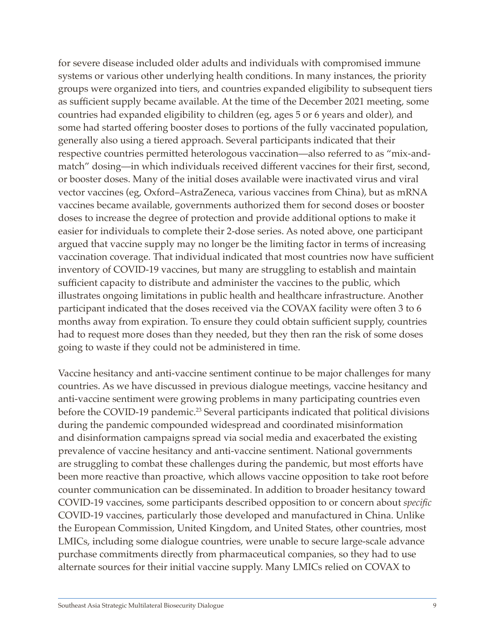for severe disease included older adults and individuals with compromised immune systems or various other underlying health conditions. In many instances, the priority groups were organized into tiers, and countries expanded eligibility to subsequent tiers as sufficient supply became available. At the time of the December 2021 meeting, some countries had expanded eligibility to children (eg, ages 5 or 6 years and older), and some had started offering booster doses to portions of the fully vaccinated population, generally also using a tiered approach. Several participants indicated that their respective countries permitted heterologous vaccination—also referred to as "mix-andmatch" dosing—in which individuals received different vaccines for their first, second, or booster doses. Many of the initial doses available were inactivated virus and viral vector vaccines (eg, Oxford–AstraZeneca, various vaccines from China), but as mRNA vaccines became available, governments authorized them for second doses or booster doses to increase the degree of protection and provide additional options to make it easier for individuals to complete their 2-dose series. As noted above, one participant argued that vaccine supply may no longer be the limiting factor in terms of increasing vaccination coverage. That individual indicated that most countries now have sufficient inventory of COVID-19 vaccines, but many are struggling to establish and maintain sufficient capacity to distribute and administer the vaccines to the public, which illustrates ongoing limitations in public health and healthcare infrastructure. Another participant indicated that the doses received via the COVAX facility were often 3 to 6 months away from expiration. To ensure they could obtain sufficient supply, countries had to request more doses than they needed, but they then ran the risk of some doses going to waste if they could not be administered in time.

Vaccine hesitancy and anti-vaccine sentiment continue to be major challenges for many countries. As we have discussed in previous dialogue meetings, vaccine hesitancy and anti-vaccine sentiment were growing problems in many participating countries even before the COVID-19 pandemic.<sup>23</sup> Several participants indicated that political divisions during the pandemic compounded widespread and coordinated misinformation and disinformation campaigns spread via social media and exacerbated the existing prevalence of vaccine hesitancy and anti-vaccine sentiment. National governments are struggling to combat these challenges during the pandemic, but most efforts have been more reactive than proactive, which allows vaccine opposition to take root before counter communication can be disseminated. In addition to broader hesitancy toward COVID-19 vaccines, some participants described opposition to or concern about *specific* COVID-19 vaccines, particularly those developed and manufactured in China. Unlike the European Commission, United Kingdom, and United States, other countries, most LMICs, including some dialogue countries, were unable to secure large-scale advance purchase commitments directly from pharmaceutical companies, so they had to use alternate sources for their initial vaccine supply. Many LMICs relied on COVAX to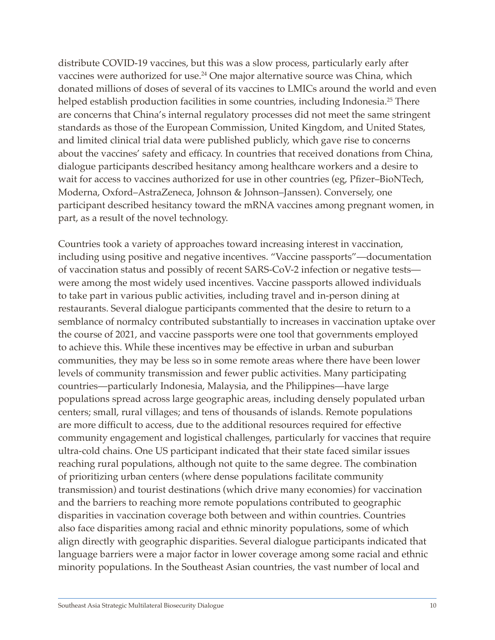distribute COVID-19 vaccines, but this was a slow process, particularly early after vaccines were authorized for use.<sup>24</sup> One major alternative source was China, which donated millions of doses of several of its vaccines to LMICs around the world and even helped establish production facilities in some countries, including Indonesia.<sup>25</sup> There are concerns that China's internal regulatory processes did not meet the same stringent standards as those of the European Commission, United Kingdom, and United States, and limited clinical trial data were published publicly, which gave rise to concerns about the vaccines' safety and efficacy. In countries that received donations from China, dialogue participants described hesitancy among healthcare workers and a desire to wait for access to vaccines authorized for use in other countries (eg, Pfizer–BioNTech, Moderna, Oxford–AstraZeneca, Johnson & Johnson–Janssen). Conversely, one participant described hesitancy toward the mRNA vaccines among pregnant women, in part, as a result of the novel technology.

Countries took a variety of approaches toward increasing interest in vaccination, including using positive and negative incentives. "Vaccine passports"—documentation of vaccination status and possibly of recent SARS-CoV-2 infection or negative tests were among the most widely used incentives. Vaccine passports allowed individuals to take part in various public activities, including travel and in-person dining at restaurants. Several dialogue participants commented that the desire to return to a semblance of normalcy contributed substantially to increases in vaccination uptake over the course of 2021, and vaccine passports were one tool that governments employed to achieve this. While these incentives may be effective in urban and suburban communities, they may be less so in some remote areas where there have been lower levels of community transmission and fewer public activities. Many participating countries—particularly Indonesia, Malaysia, and the Philippines—have large populations spread across large geographic areas, including densely populated urban centers; small, rural villages; and tens of thousands of islands. Remote populations are more difficult to access, due to the additional resources required for effective community engagement and logistical challenges, particularly for vaccines that require ultra-cold chains. One US participant indicated that their state faced similar issues reaching rural populations, although not quite to the same degree. The combination of prioritizing urban centers (where dense populations facilitate community transmission) and tourist destinations (which drive many economies) for vaccination and the barriers to reaching more remote populations contributed to geographic disparities in vaccination coverage both between and within countries. Countries also face disparities among racial and ethnic minority populations, some of which align directly with geographic disparities. Several dialogue participants indicated that language barriers were a major factor in lower coverage among some racial and ethnic minority populations. In the Southeast Asian countries, the vast number of local and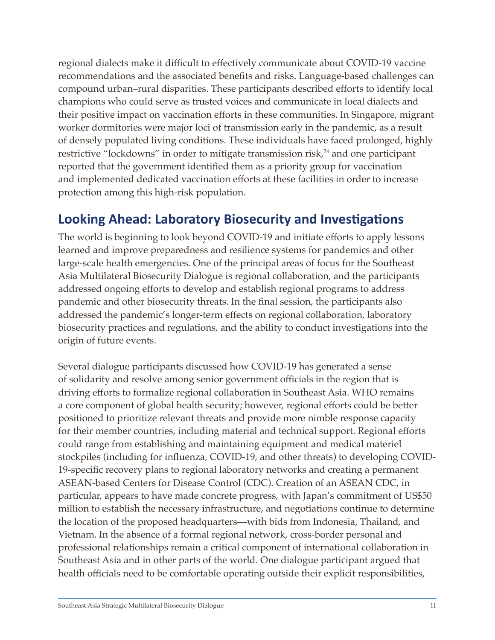regional dialects make it difficult to effectively communicate about COVID-19 vaccine recommendations and the associated benefits and risks. Language-based challenges can compound urban–rural disparities. These participants described efforts to identify local champions who could serve as trusted voices and communicate in local dialects and their positive impact on vaccination efforts in these communities. In Singapore, migrant worker dormitories were major loci of transmission early in the pandemic, as a result of densely populated living conditions. These individuals have faced prolonged, highly restrictive "lockdowns" in order to mitigate transmission risk, $26$  and one participant reported that the government identified them as a priority group for vaccination and implemented dedicated vaccination efforts at these facilities in order to increase protection among this high-risk population.

### <span id="page-13-0"></span>**Looking Ahead: Laboratory Biosecurity and Investigations**

The world is beginning to look beyond COVID-19 and initiate efforts to apply lessons learned and improve preparedness and resilience systems for pandemics and other large-scale health emergencies. One of the principal areas of focus for the Southeast Asia Multilateral Biosecurity Dialogue is regional collaboration, and the participants addressed ongoing efforts to develop and establish regional programs to address pandemic and other biosecurity threats. In the final session, the participants also addressed the pandemic's longer-term effects on regional collaboration, laboratory biosecurity practices and regulations, and the ability to conduct investigations into the origin of future events.

Several dialogue participants discussed how COVID-19 has generated a sense of solidarity and resolve among senior government officials in the region that is driving efforts to formalize regional collaboration in Southeast Asia. WHO remains a core component of global health security; however, regional efforts could be better positioned to prioritize relevant threats and provide more nimble response capacity for their member countries, including material and technical support. Regional efforts could range from establishing and maintaining equipment and medical materiel stockpiles (including for influenza, COVID-19, and other threats) to developing COVID-19-specific recovery plans to regional laboratory networks and creating a permanent ASEAN-based Centers for Disease Control (CDC). Creation of an ASEAN CDC, in particular, appears to have made concrete progress, with Japan's commitment of US\$50 million to establish the necessary infrastructure, and negotiations continue to determine the location of the proposed headquarters—with bids from Indonesia, Thailand, and Vietnam. In the absence of a formal regional network, cross-border personal and professional relationships remain a critical component of international collaboration in Southeast Asia and in other parts of the world. One dialogue participant argued that health officials need to be comfortable operating outside their explicit responsibilities,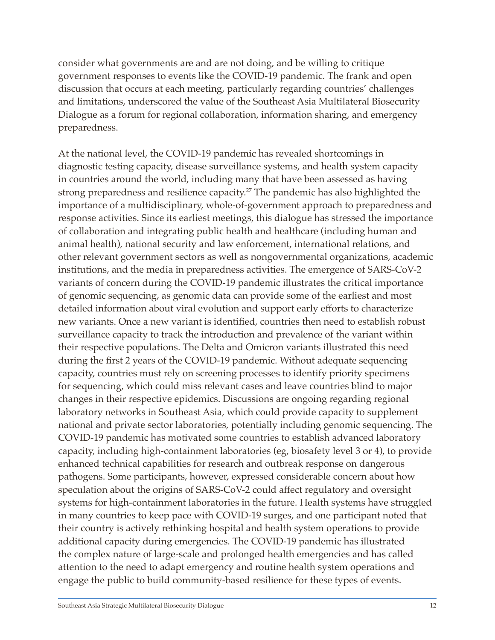consider what governments are and are not doing, and be willing to critique government responses to events like the COVID-19 pandemic. The frank and open discussion that occurs at each meeting, particularly regarding countries' challenges and limitations, underscored the value of the Southeast Asia Multilateral Biosecurity Dialogue as a forum for regional collaboration, information sharing, and emergency preparedness.

At the national level, the COVID-19 pandemic has revealed shortcomings in diagnostic testing capacity, disease surveillance systems, and health system capacity in countries around the world, including many that have been assessed as having strong preparedness and resilience capacity.27 The pandemic has also highlighted the importance of a multidisciplinary, whole-of-government approach to preparedness and response activities. Since its earliest meetings, this dialogue has stressed the importance of collaboration and integrating public health and healthcare (including human and animal health), national security and law enforcement, international relations, and other relevant government sectors as well as nongovernmental organizations, academic institutions, and the media in preparedness activities. The emergence of SARS-CoV-2 variants of concern during the COVID-19 pandemic illustrates the critical importance of genomic sequencing, as genomic data can provide some of the earliest and most detailed information about viral evolution and support early efforts to characterize new variants. Once a new variant is identified, countries then need to establish robust surveillance capacity to track the introduction and prevalence of the variant within their respective populations. The Delta and Omicron variants illustrated this need during the first 2 years of the COVID-19 pandemic. Without adequate sequencing capacity, countries must rely on screening processes to identify priority specimens for sequencing, which could miss relevant cases and leave countries blind to major changes in their respective epidemics. Discussions are ongoing regarding regional laboratory networks in Southeast Asia, which could provide capacity to supplement national and private sector laboratories, potentially including genomic sequencing. The COVID-19 pandemic has motivated some countries to establish advanced laboratory capacity, including high-containment laboratories (eg, biosafety level 3 or 4), to provide enhanced technical capabilities for research and outbreak response on dangerous pathogens. Some participants, however, expressed considerable concern about how speculation about the origins of SARS-CoV-2 could affect regulatory and oversight systems for high-containment laboratories in the future. Health systems have struggled in many countries to keep pace with COVID-19 surges, and one participant noted that their country is actively rethinking hospital and health system operations to provide additional capacity during emergencies. The COVID-19 pandemic has illustrated the complex nature of large-scale and prolonged health emergencies and has called attention to the need to adapt emergency and routine health system operations and engage the public to build community-based resilience for these types of events.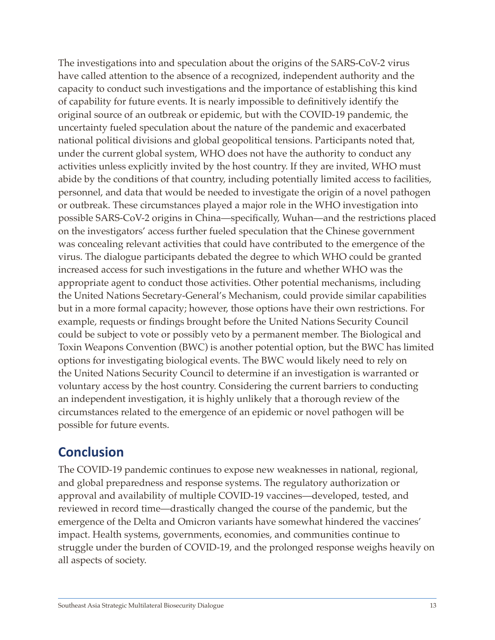The investigations into and speculation about the origins of the SARS-CoV-2 virus have called attention to the absence of a recognized, independent authority and the capacity to conduct such investigations and the importance of establishing this kind of capability for future events. It is nearly impossible to definitively identify the original source of an outbreak or epidemic, but with the COVID-19 pandemic, the uncertainty fueled speculation about the nature of the pandemic and exacerbated national political divisions and global geopolitical tensions. Participants noted that, under the current global system, WHO does not have the authority to conduct any activities unless explicitly invited by the host country. If they are invited, WHO must abide by the conditions of that country, including potentially limited access to facilities, personnel, and data that would be needed to investigate the origin of a novel pathogen or outbreak. These circumstances played a major role in the WHO investigation into possible SARS-CoV-2 origins in China—specifically, Wuhan—and the restrictions placed on the investigators' access further fueled speculation that the Chinese government was concealing relevant activities that could have contributed to the emergence of the virus. The dialogue participants debated the degree to which WHO could be granted increased access for such investigations in the future and whether WHO was the appropriate agent to conduct those activities. Other potential mechanisms, including the United Nations Secretary-General's Mechanism, could provide similar capabilities but in a more formal capacity; however, those options have their own restrictions. For example, requests or findings brought before the United Nations Security Council could be subject to vote or possibly veto by a permanent member. The Biological and Toxin Weapons Convention (BWC) is another potential option, but the BWC has limited options for investigating biological events. The BWC would likely need to rely on the United Nations Security Council to determine if an investigation is warranted or voluntary access by the host country. Considering the current barriers to conducting an independent investigation, it is highly unlikely that a thorough review of the circumstances related to the emergence of an epidemic or novel pathogen will be possible for future events.

### <span id="page-15-0"></span>**Conclusion**

The COVID-19 pandemic continues to expose new weaknesses in national, regional, and global preparedness and response systems. The regulatory authorization or approval and availability of multiple COVID-19 vaccines—developed, tested, and reviewed in record time—drastically changed the course of the pandemic, but the emergence of the Delta and Omicron variants have somewhat hindered the vaccines' impact. Health systems, governments, economies, and communities continue to struggle under the burden of COVID-19, and the prolonged response weighs heavily on all aspects of society.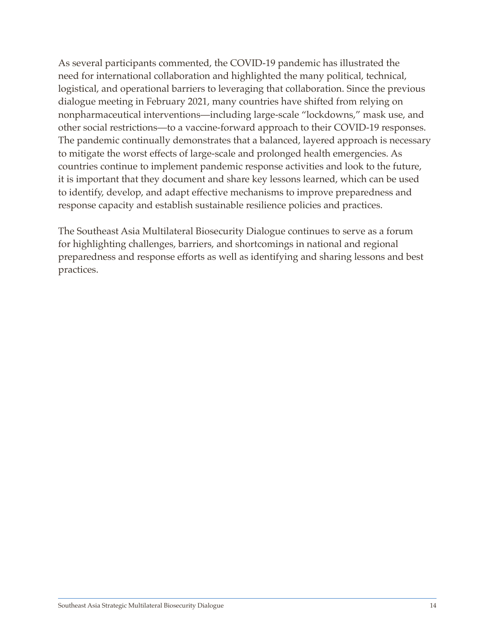As several participants commented, the COVID-19 pandemic has illustrated the need for international collaboration and highlighted the many political, technical, logistical, and operational barriers to leveraging that collaboration. Since the previous dialogue meeting in February 2021, many countries have shifted from relying on nonpharmaceutical interventions—including large-scale "lockdowns," mask use, and other social restrictions—to a vaccine-forward approach to their COVID-19 responses. The pandemic continually demonstrates that a balanced, layered approach is necessary to mitigate the worst effects of large-scale and prolonged health emergencies. As countries continue to implement pandemic response activities and look to the future, it is important that they document and share key lessons learned, which can be used to identify, develop, and adapt effective mechanisms to improve preparedness and response capacity and establish sustainable resilience policies and practices.

The Southeast Asia Multilateral Biosecurity Dialogue continues to serve as a forum for highlighting challenges, barriers, and shortcomings in national and regional preparedness and response efforts as well as identifying and sharing lessons and best practices.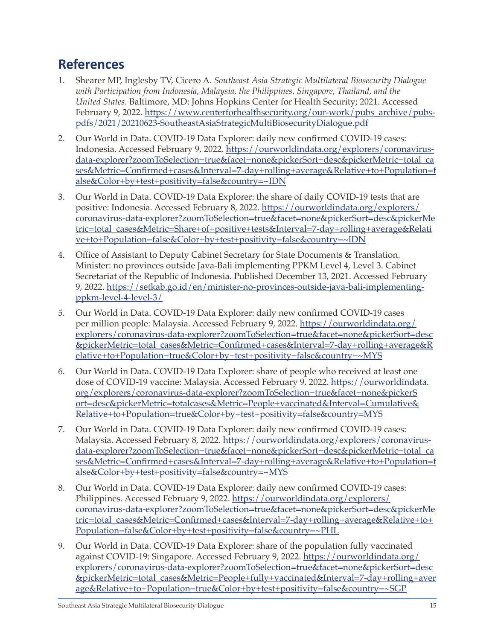### <span id="page-17-0"></span>**References**

- 1. Shearer MP, Inglesby TV, Cicero A. *Southeast Asia Strategic Multilateral Biosecurity Dialogue with Participation from Indonesia, Malaysia, the Philippines, Singapore, Thailand, and the United States*. Baltimore, MD: Johns Hopkins Center for Health Security; 2021. Accessed February 9, 2022. [https://www.centerforhealthsecurity.org/our-work/pubs\\_archive/pubs](https://www.centerforhealthsecurity.org/our-work/pubs_archive/pubs-pdfs/2021/20210623-SoutheastAsiaStrategicMultiBiosecurityDialogue.pdf)[pdfs/2021/20210623-SoutheastAsiaStrategicMultiBiosecurityDialogue.pdf](https://www.centerforhealthsecurity.org/our-work/pubs_archive/pubs-pdfs/2021/20210623-SoutheastAsiaStrategicMultiBiosecurityDialogue.pdf)
- 2. Our World in Data. COVID-19 Data Explorer: daily new confirmed COVID-19 cases: Indonesia. Accessed February 9, 2022. [https://ourworldindata.org/explorers/coronavirus](https://ourworldindata.org/explorers/coronavirus-data-explorer?zoomToSelection=true&facet=none&pickerSort=desc&pickerMetric=total_cases&Metric=Confirmed+cases&Interval=7-day+rolling+average&Relative+to+Population=false&Color+by+test+positivity=false&country=~IDN)[data-explorer?zoomToSelection=true&facet=none&pickerSort=desc&pickerMetric=total\\_ca](https://ourworldindata.org/explorers/coronavirus-data-explorer?zoomToSelection=true&facet=none&pickerSort=desc&pickerMetric=total_cases&Metric=Confirmed+cases&Interval=7-day+rolling+average&Relative+to+Population=false&Color+by+test+positivity=false&country=~IDN) [ses&Metric=Confirmed+cases&Interval=7-day+rolling+average&Relative+to+Population=f](https://ourworldindata.org/explorers/coronavirus-data-explorer?zoomToSelection=true&facet=none&pickerSort=desc&pickerMetric=total_cases&Metric=Confirmed+cases&Interval=7-day+rolling+average&Relative+to+Population=false&Color+by+test+positivity=false&country=~IDN) [alse&Color+by+test+positivity=false&country=~IDN](https://ourworldindata.org/explorers/coronavirus-data-explorer?zoomToSelection=true&facet=none&pickerSort=desc&pickerMetric=total_cases&Metric=Confirmed+cases&Interval=7-day+rolling+average&Relative+to+Population=false&Color+by+test+positivity=false&country=~IDN)
- 3. Our World in Data. COVID-19 Data Explorer: the share of daily COVID-19 tests that are positive: Indonesia. Accessed February 8, 2022. [https://ourworldindata.org/explorers/](https://ourworldindata.org/explorers/coronavirus-data-explorer?zoomToSelection=true&facet=none&pickerSort=desc&pickerMetric=total_cases&Metric=Share+of+positive+tests&Interval=7-day+rolling+average&Relative+to+Population=false&Color+by+test+positivity=false&country=~IDN) [coronavirus-data-explorer?zoomToSelection=true&facet=none&pickerSort=desc&pickerMe](https://ourworldindata.org/explorers/coronavirus-data-explorer?zoomToSelection=true&facet=none&pickerSort=desc&pickerMetric=total_cases&Metric=Share+of+positive+tests&Interval=7-day+rolling+average&Relative+to+Population=false&Color+by+test+positivity=false&country=~IDN) [tric=total\\_cases&Metric=Share+of+positive+tests&Interval=7-day+rolling+average&Relati](https://ourworldindata.org/explorers/coronavirus-data-explorer?zoomToSelection=true&facet=none&pickerSort=desc&pickerMetric=total_cases&Metric=Share+of+positive+tests&Interval=7-day+rolling+average&Relative+to+Population=false&Color+by+test+positivity=false&country=~IDN) [ve+to+Population=false&Color+by+test+positivity=false&country=~IDN](https://ourworldindata.org/explorers/coronavirus-data-explorer?zoomToSelection=true&facet=none&pickerSort=desc&pickerMetric=total_cases&Metric=Share+of+positive+tests&Interval=7-day+rolling+average&Relative+to+Population=false&Color+by+test+positivity=false&country=~IDN)
- 4. Office of Assistant to Deputy Cabinet Secretary for State Documents & Translation. Minister: no provinces outside Java-Bali implementing PPKM Level 4, Level 3. Cabinet Secretariat of the Republic of Indonesia. Published December 13, 2021. Accessed February 9, 2022. [https://setkab.go.id/en/minister-no-provinces-outside-java-bali-implementing](https://setkab.go.id/en/minister-no-provinces-outside-java-bali-implementing-ppkm-level-4-level-3/)[ppkm-level-4-level-3/](https://setkab.go.id/en/minister-no-provinces-outside-java-bali-implementing-ppkm-level-4-level-3/)
- 5. Our World in Data. COVID-19 Data Explorer: daily new confirmed COVID-19 cases per million people: Malaysia. Accessed February 9, 2022. [https://ourworldindata.org/](https://ourworldindata.org/explorers/coronavirus-data-explorer?zoomToSelection=true&facet=none&pickerSort=desc&pickerMetric=total_cases&Metric=Confirmed+cases&Interval=7-day+rolling+average&Relative+to+Population=true&Color+by+test+positivity=false&country=~MYS) [explorers/coronavirus-data-explorer?zoomToSelection=true&facet=none&pickerSort=desc](https://ourworldindata.org/explorers/coronavirus-data-explorer?zoomToSelection=true&facet=none&pickerSort=desc&pickerMetric=total_cases&Metric=Confirmed+cases&Interval=7-day+rolling+average&Relative+to+Population=true&Color+by+test+positivity=false&country=~MYS) [&pickerMetric=total\\_cases&Metric=Confirmed+cases&Interval=7-day+rolling+average&R](https://ourworldindata.org/explorers/coronavirus-data-explorer?zoomToSelection=true&facet=none&pickerSort=desc&pickerMetric=total_cases&Metric=Confirmed+cases&Interval=7-day+rolling+average&Relative+to+Population=true&Color+by+test+positivity=false&country=~MYS) [elative+to+Population=true&Color+by+test+positivity=false&country=~MYS](https://ourworldindata.org/explorers/coronavirus-data-explorer?zoomToSelection=true&facet=none&pickerSort=desc&pickerMetric=total_cases&Metric=Confirmed+cases&Interval=7-day+rolling+average&Relative+to+Population=true&Color+by+test+positivity=false&country=~MYS)
- 6. Our World in Data. COVID-19 Data Explorer: share of people who received at least one dose of COVID-19 vaccine: Malaysia. Accessed February 9, 2022. [https://ourworldindata.](https://ourworldindata.org/explorers/coronavirus-data-explorer?zoomToSelection=true&facet=none&pickerSort=desc&pickerMetric=totalcases&Metric=People+vaccinated&Interval=Cumulative&Relative+to+Population=true&Color+by+test+positivity=false&country=MYS) [org/explorers/coronavirus-data-explorer?zoomToSelection=true&facet=none&pickerS](https://ourworldindata.org/explorers/coronavirus-data-explorer?zoomToSelection=true&facet=none&pickerSort=desc&pickerMetric=totalcases&Metric=People+vaccinated&Interval=Cumulative&Relative+to+Population=true&Color+by+test+positivity=false&country=MYS) [ort=desc&pickerMetric=totalcases&Metric=People+vaccinated&Interval=Cumulative&](https://ourworldindata.org/explorers/coronavirus-data-explorer?zoomToSelection=true&facet=none&pickerSort=desc&pickerMetric=totalcases&Metric=People+vaccinated&Interval=Cumulative&Relative+to+Population=true&Color+by+test+positivity=false&country=MYS) [Relative+to+Population=true&Color+by+test+positivity=false&country=MYS](https://ourworldindata.org/explorers/coronavirus-data-explorer?zoomToSelection=true&facet=none&pickerSort=desc&pickerMetric=totalcases&Metric=People+vaccinated&Interval=Cumulative&Relative+to+Population=true&Color+by+test+positivity=false&country=MYS)
- 7. Our World in Data. COVID-19 Data Explorer: daily new confirmed COVID-19 cases: Malaysia. Accessed February 8, 2022. [https://ourworldindata.org/explorers/coronavirus](https://ourworldindata.org/explorers/coronavirus-data-explorer?zoomToSelection=true&facet=none&pickerSort=desc&pickerMetric=total_cases&Metric=Confirmed+cases&Interval=7-day+rolling+average&Relative+to+Population=false&Color+by+test+positivity=false&country=~MYS)[data-explorer?zoomToSelection=true&facet=none&pickerSort=desc&pickerMetric=total\\_ca](https://ourworldindata.org/explorers/coronavirus-data-explorer?zoomToSelection=true&facet=none&pickerSort=desc&pickerMetric=total_cases&Metric=Confirmed+cases&Interval=7-day+rolling+average&Relative+to+Population=false&Color+by+test+positivity=false&country=~MYS) [ses&Metric=Confirmed+cases&Interval=7-day+rolling+average&Relative+to+Population=f](https://ourworldindata.org/explorers/coronavirus-data-explorer?zoomToSelection=true&facet=none&pickerSort=desc&pickerMetric=total_cases&Metric=Confirmed+cases&Interval=7-day+rolling+average&Relative+to+Population=false&Color+by+test+positivity=false&country=~MYS) [alse&Color+by+test+positivity=false&country=~MYS](https://ourworldindata.org/explorers/coronavirus-data-explorer?zoomToSelection=true&facet=none&pickerSort=desc&pickerMetric=total_cases&Metric=Confirmed+cases&Interval=7-day+rolling+average&Relative+to+Population=false&Color+by+test+positivity=false&country=~MYS)
- 8. Our World in Data. COVID-19 Data Explorer: daily new confirmed COVID-19 cases: Philippines. Accessed February 9, 2022. [https://ourworldindata.org/explorers/](https://ourworldindata.org/explorers/coronavirus-data-explorer?zoomToSelection=true&facet=none&pickerSort=desc&pickerMetric=total_cases&Metric=Confirmed+cases&Interval=7-day+rolling+average&Relative+to+Population=false&Color+by+test+positivity=false&country=~PHL) [coronavirus-data-explorer?zoomToSelection=true&facet=none&pickerSort=desc&pickerMe](https://ourworldindata.org/explorers/coronavirus-data-explorer?zoomToSelection=true&facet=none&pickerSort=desc&pickerMetric=total_cases&Metric=Confirmed+cases&Interval=7-day+rolling+average&Relative+to+Population=false&Color+by+test+positivity=false&country=~PHL) [tric=total\\_cases&Metric=Confirmed+cases&Interval=7-day+rolling+average&Relative+to+](https://ourworldindata.org/explorers/coronavirus-data-explorer?zoomToSelection=true&facet=none&pickerSort=desc&pickerMetric=total_cases&Metric=Confirmed+cases&Interval=7-day+rolling+average&Relative+to+Population=false&Color+by+test+positivity=false&country=~PHL) [Population=false&Color+by+test+positivity=false&country=~PHL](https://ourworldindata.org/explorers/coronavirus-data-explorer?zoomToSelection=true&facet=none&pickerSort=desc&pickerMetric=total_cases&Metric=Confirmed+cases&Interval=7-day+rolling+average&Relative+to+Population=false&Color+by+test+positivity=false&country=~PHL)
- 9. Our World in Data. COVID-19 Data Explorer: share of the population fully vaccinated against COVID-19: Singapore. Accessed February 9, 2022. [https://ourworldindata.org/](https://ourworldindata.org/explorers/coronavirus-data-explorer?zoomToSelection=true&facet=none&pickerSort=desc&pickerMetric=total_cases&Metric=People+fully+vaccinated&Interval=7-day+rolling+average&Relative+to+Population=true&Color+by+test+positivity=false&country=~SGP) [explorers/coronavirus-data-explorer?zoomToSelection=true&facet=none&pickerSort=desc](https://ourworldindata.org/explorers/coronavirus-data-explorer?zoomToSelection=true&facet=none&pickerSort=desc&pickerMetric=total_cases&Metric=People+fully+vaccinated&Interval=7-day+rolling+average&Relative+to+Population=true&Color+by+test+positivity=false&country=~SGP) [&pickerMetric=total\\_cases&Metric=People+fully+vaccinated&Interval=7-day+rolling+aver](https://ourworldindata.org/explorers/coronavirus-data-explorer?zoomToSelection=true&facet=none&pickerSort=desc&pickerMetric=total_cases&Metric=People+fully+vaccinated&Interval=7-day+rolling+average&Relative+to+Population=true&Color+by+test+positivity=false&country=~SGP) [age&Relative+to+Population=true&Color+by+test+positivity=false&country=~SGP](https://ourworldindata.org/explorers/coronavirus-data-explorer?zoomToSelection=true&facet=none&pickerSort=desc&pickerMetric=total_cases&Metric=People+fully+vaccinated&Interval=7-day+rolling+average&Relative+to+Population=true&Color+by+test+positivity=false&country=~SGP)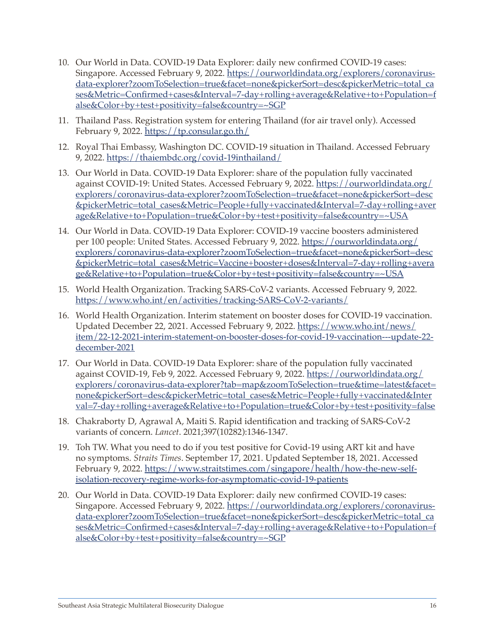- 10. Our World in Data. COVID-19 Data Explorer: daily new confirmed COVID-19 cases: Singapore. Accessed February 9, 2022. [https://ourworldindata.org/explorers/coronavirus](https://ourworldindata.org/explorers/coronavirus-data-explorer?zoomToSelection=true&facet=none&pickerSort=desc&pickerMetric=total_cases&Metric=Confirmed+cases&Interval=7-day+rolling+average&Relative+to+Population=false&Color+by+test+positivity=false&country=~SGP)[data-explorer?zoomToSelection=true&facet=none&pickerSort=desc&pickerMetric=total\\_ca](https://ourworldindata.org/explorers/coronavirus-data-explorer?zoomToSelection=true&facet=none&pickerSort=desc&pickerMetric=total_cases&Metric=Confirmed+cases&Interval=7-day+rolling+average&Relative+to+Population=false&Color+by+test+positivity=false&country=~SGP) [ses&Metric=Confirmed+cases&Interval=7-day+rolling+average&Relative+to+Population=f](https://ourworldindata.org/explorers/coronavirus-data-explorer?zoomToSelection=true&facet=none&pickerSort=desc&pickerMetric=total_cases&Metric=Confirmed+cases&Interval=7-day+rolling+average&Relative+to+Population=false&Color+by+test+positivity=false&country=~SGP) [alse&Color+by+test+positivity=false&country=~SGP](https://ourworldindata.org/explorers/coronavirus-data-explorer?zoomToSelection=true&facet=none&pickerSort=desc&pickerMetric=total_cases&Metric=Confirmed+cases&Interval=7-day+rolling+average&Relative+to+Population=false&Color+by+test+positivity=false&country=~SGP)
- 11. Thailand Pass. Registration system for entering Thailand (for air travel only). Accessed February 9, 2022.<https://tp.consular.go.th/>
- 12. Royal Thai Embassy, Washington DC. COVID-19 situation in Thailand. Accessed February 9, 2022.<https://thaiembdc.org/covid-19inthailand/>
- 13. Our World in Data. COVID-19 Data Explorer: share of the population fully vaccinated against COVID-19: United States. Accessed February 9, 2022. [https://ourworldindata.org/](https://ourworldindata.org/explorers/coronavirus-data-explorer?zoomToSelection=true&facet=none&pickerSort=desc&pickerMetric=total_cases&Metric=People+fully+vaccinated&Interval=7-day+rolling+average&Relative+to+Population=true&Color+by+test+positivity=false&country=~USA) [explorers/coronavirus-data-explorer?zoomToSelection=true&facet=none&pickerSort=desc](https://ourworldindata.org/explorers/coronavirus-data-explorer?zoomToSelection=true&facet=none&pickerSort=desc&pickerMetric=total_cases&Metric=People+fully+vaccinated&Interval=7-day+rolling+average&Relative+to+Population=true&Color+by+test+positivity=false&country=~USA) [&pickerMetric=total\\_cases&Metric=People+fully+vaccinated&Interval=7-day+rolling+aver](https://ourworldindata.org/explorers/coronavirus-data-explorer?zoomToSelection=true&facet=none&pickerSort=desc&pickerMetric=total_cases&Metric=People+fully+vaccinated&Interval=7-day+rolling+average&Relative+to+Population=true&Color+by+test+positivity=false&country=~USA) [age&Relative+to+Population=true&Color+by+test+positivity=false&country=~USA](https://ourworldindata.org/explorers/coronavirus-data-explorer?zoomToSelection=true&facet=none&pickerSort=desc&pickerMetric=total_cases&Metric=People+fully+vaccinated&Interval=7-day+rolling+average&Relative+to+Population=true&Color+by+test+positivity=false&country=~USA)
- 14. Our World in Data. COVID-19 Data Explorer: COVID-19 vaccine boosters administered per 100 people: United States. Accessed February 9, 2022. [https://ourworldindata.org/](https://ourworldindata.org/explorers/coronavirus-data-explorer?zoomToSelection=true&facet=none&pickerSort=desc&pickerMetric=total_cases&Metric=Vaccine+booster+doses&Interval=7-day+rolling+average&Relative+to+Population=true&Color+by+test+positivity=false&country=~USA) [explorers/coronavirus-data-explorer?zoomToSelection=true&facet=none&pickerSort=desc](https://ourworldindata.org/explorers/coronavirus-data-explorer?zoomToSelection=true&facet=none&pickerSort=desc&pickerMetric=total_cases&Metric=Vaccine+booster+doses&Interval=7-day+rolling+average&Relative+to+Population=true&Color+by+test+positivity=false&country=~USA) [&pickerMetric=total\\_cases&Metric=Vaccine+booster+doses&Interval=7-day+rolling+avera](https://ourworldindata.org/explorers/coronavirus-data-explorer?zoomToSelection=true&facet=none&pickerSort=desc&pickerMetric=total_cases&Metric=Vaccine+booster+doses&Interval=7-day+rolling+average&Relative+to+Population=true&Color+by+test+positivity=false&country=~USA) [ge&Relative+to+Population=true&Color+by+test+positivity=false&country=~USA](https://ourworldindata.org/explorers/coronavirus-data-explorer?zoomToSelection=true&facet=none&pickerSort=desc&pickerMetric=total_cases&Metric=Vaccine+booster+doses&Interval=7-day+rolling+average&Relative+to+Population=true&Color+by+test+positivity=false&country=~USA)
- 15. World Health Organization. Tracking SARS-CoV-2 variants. Accessed February 9, 2022. <https://www.who.int/en/activities/tracking-SARS-CoV-2-variants/>
- 16. World Health Organization. Interim statement on booster doses for COVID-19 vaccination. Updated December 22, 2021. Accessed February 9, 2022. [https://www.who.int/news/](https://www.who.int/news/item/22-12-2021-interim-statement-on-booster-doses-for-covid-19-vaccination---update-22-december-2021) [item/22-12-2021-interim-statement-on-booster-doses-for-covid-19-vaccination---update-22](https://www.who.int/news/item/22-12-2021-interim-statement-on-booster-doses-for-covid-19-vaccination---update-22-december-2021) [december-2021](https://www.who.int/news/item/22-12-2021-interim-statement-on-booster-doses-for-covid-19-vaccination---update-22-december-2021)
- 17. Our World in Data. COVID-19 Data Explorer: share of the population fully vaccinated against COVID-19, Feb 9, 2022. Accessed February 9, 2022. [https://ourworldindata.org/](https://ourworldindata.org/explorers/coronavirus-data-explorer?tab=map&zoomToSelection=true&time=latest&facet=none&pickerSort=desc&pickerMetric=total_cases&Metric=People+fully+vaccinated&Interval=7-day+rolling+average&Relative+to+Population=true&Color+by+test+positivity=false) [explorers/coronavirus-data-explorer?tab=map&zoomToSelection=true&time=latest&facet=](https://ourworldindata.org/explorers/coronavirus-data-explorer?tab=map&zoomToSelection=true&time=latest&facet=none&pickerSort=desc&pickerMetric=total_cases&Metric=People+fully+vaccinated&Interval=7-day+rolling+average&Relative+to+Population=true&Color+by+test+positivity=false) [none&pickerSort=desc&pickerMetric=total\\_cases&Metric=People+fully+vaccinated&Inter](https://ourworldindata.org/explorers/coronavirus-data-explorer?tab=map&zoomToSelection=true&time=latest&facet=none&pickerSort=desc&pickerMetric=total_cases&Metric=People+fully+vaccinated&Interval=7-day+rolling+average&Relative+to+Population=true&Color+by+test+positivity=false) [val=7-day+rolling+average&Relative+to+Population=true&Color+by+test+positivity=false](https://ourworldindata.org/explorers/coronavirus-data-explorer?tab=map&zoomToSelection=true&time=latest&facet=none&pickerSort=desc&pickerMetric=total_cases&Metric=People+fully+vaccinated&Interval=7-day+rolling+average&Relative+to+Population=true&Color+by+test+positivity=false)
- 18. Chakraborty D, Agrawal A, Maiti S. Rapid identification and tracking of SARS-CoV-2 variants of concern. *Lancet*. 2021;397(10282):1346-1347.
- 19. Toh TW. What you need to do if you test positive for Covid-19 using ART kit and have no symptoms. *Straits Times*. September 17, 2021. Updated September 18, 2021. Accessed February 9, 2022. [https://www.straitstimes.com/singapore/health/how-the-new-self](https://www.straitstimes.com/singapore/health/how-the-new-self-isolation-recovery-regime-works-for-asymptomatic-covid-19-patients)[isolation-recovery-regime-works-for-asymptomatic-covid-19-patients](https://www.straitstimes.com/singapore/health/how-the-new-self-isolation-recovery-regime-works-for-asymptomatic-covid-19-patients)
- 20. Our World in Data. COVID-19 Data Explorer: daily new confirmed COVID-19 cases: Singapore. Accessed February 9, 2022. [https://ourworldindata.org/explorers/coronavirus](https://ourworldindata.org/explorers/coronavirus-data-explorer?zoomToSelection=true&facet=none&pickerSort=desc&pickerMetric=total_cases&Metric=Confirmed+cases&Interval=7-day+rolling+average&Relative+to+Population=false&Color+by+test+positivity=false&country=~SGP)[data-explorer?zoomToSelection=true&facet=none&pickerSort=desc&pickerMetric=total\\_ca](https://ourworldindata.org/explorers/coronavirus-data-explorer?zoomToSelection=true&facet=none&pickerSort=desc&pickerMetric=total_cases&Metric=Confirmed+cases&Interval=7-day+rolling+average&Relative+to+Population=false&Color+by+test+positivity=false&country=~SGP) [ses&Metric=Confirmed+cases&Interval=7-day+rolling+average&Relative+to+Population=f](https://ourworldindata.org/explorers/coronavirus-data-explorer?zoomToSelection=true&facet=none&pickerSort=desc&pickerMetric=total_cases&Metric=Confirmed+cases&Interval=7-day+rolling+average&Relative+to+Population=false&Color+by+test+positivity=false&country=~SGP) [alse&Color+by+test+positivity=false&country=~SGP](https://ourworldindata.org/explorers/coronavirus-data-explorer?zoomToSelection=true&facet=none&pickerSort=desc&pickerMetric=total_cases&Metric=Confirmed+cases&Interval=7-day+rolling+average&Relative+to+Population=false&Color+by+test+positivity=false&country=~SGP)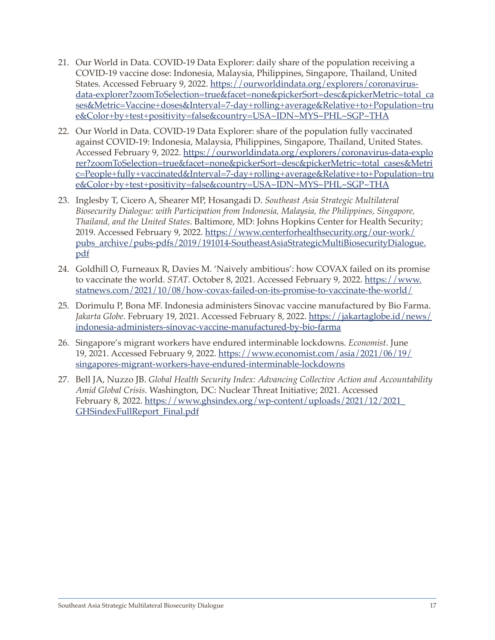- 21. Our World in Data. COVID-19 Data Explorer: daily share of the population receiving a COVID-19 vaccine dose: Indonesia, Malaysia, Philippines, Singapore, Thailand, United States. Accessed February 9, 2022. [https://ourworldindata.org/explorers/coronavirus](https://ourworldindata.org/explorers/coronavirus-data-explorer?zoomToSelection=true&facet=none&pickerSort=desc&pickerMetric=total_cases&Metric=Vaccine+doses&Interval=7-day+rolling+average&Relative+to+Population=true&Color+by+test+positivity=false&country=USA~IDN~MYS~PHL~SGP~THA)[data-explorer?zoomToSelection=true&facet=none&pickerSort=desc&pickerMetric=total\\_ca](https://ourworldindata.org/explorers/coronavirus-data-explorer?zoomToSelection=true&facet=none&pickerSort=desc&pickerMetric=total_cases&Metric=Vaccine+doses&Interval=7-day+rolling+average&Relative+to+Population=true&Color+by+test+positivity=false&country=USA~IDN~MYS~PHL~SGP~THA) [ses&Metric=Vaccine+doses&Interval=7-day+rolling+average&Relative+to+Population=tru](https://ourworldindata.org/explorers/coronavirus-data-explorer?zoomToSelection=true&facet=none&pickerSort=desc&pickerMetric=total_cases&Metric=Vaccine+doses&Interval=7-day+rolling+average&Relative+to+Population=true&Color+by+test+positivity=false&country=USA~IDN~MYS~PHL~SGP~THA) [e&Color+by+test+positivity=false&country=USA~IDN~MYS~PHL~SGP~THA](https://ourworldindata.org/explorers/coronavirus-data-explorer?zoomToSelection=true&facet=none&pickerSort=desc&pickerMetric=total_cases&Metric=Vaccine+doses&Interval=7-day+rolling+average&Relative+to+Population=true&Color+by+test+positivity=false&country=USA~IDN~MYS~PHL~SGP~THA)
- 22. Our World in Data. COVID-19 Data Explorer: share of the population fully vaccinated against COVID-19: Indonesia, Malaysia, Philippines, Singapore, Thailand, United States. Accessed February 9, 2022. [https://ourworldindata.org/explorers/coronavirus-data-explo](https://ourworldindata.org/explorers/coronavirus-data-explorer?zoomToSelection=true&facet=none&pickerSort=desc&pickerMetric=total_cases&Metric=People+fully+vaccinated&Interval=7-day+rolling+average&Relative+to+Population=true&Color+by+test+positivity=false&country=USA~IDN~MYS~PHL~SGP~THA) [rer?zoomToSelection=true&facet=none&pickerSort=desc&pickerMetric=total\\_cases&Metri](https://ourworldindata.org/explorers/coronavirus-data-explorer?zoomToSelection=true&facet=none&pickerSort=desc&pickerMetric=total_cases&Metric=People+fully+vaccinated&Interval=7-day+rolling+average&Relative+to+Population=true&Color+by+test+positivity=false&country=USA~IDN~MYS~PHL~SGP~THA) [c=People+fully+vaccinated&Interval=7-day+rolling+average&Relative+to+Population=tru](https://ourworldindata.org/explorers/coronavirus-data-explorer?zoomToSelection=true&facet=none&pickerSort=desc&pickerMetric=total_cases&Metric=People+fully+vaccinated&Interval=7-day+rolling+average&Relative+to+Population=true&Color+by+test+positivity=false&country=USA~IDN~MYS~PHL~SGP~THA) [e&Color+by+test+positivity=false&country=USA~IDN~MYS~PHL~SGP~THA](https://ourworldindata.org/explorers/coronavirus-data-explorer?zoomToSelection=true&facet=none&pickerSort=desc&pickerMetric=total_cases&Metric=People+fully+vaccinated&Interval=7-day+rolling+average&Relative+to+Population=true&Color+by+test+positivity=false&country=USA~IDN~MYS~PHL~SGP~THA)
- 23. Inglesby T, Cicero A, Shearer MP, Hosangadi D. *Southeast Asia Strategic Multilateral Biosecurity Dialogue: with Participation from Indonesia, Malaysia, the Philippines, Singapore, Thailand, and the United States*. Baltimore, MD: Johns Hopkins Center for Health Security; 2019. Accessed February 9, 2022. [https://www.centerforhealthsecurity.org/our-work/](https://www.centerforhealthsecurity.org/our-work/pubs_archive/pubs-pdfs/2019/191014-SoutheastAsiaStrategicMultiBiosecurityDialogue.pdf) [pubs\\_archive/pubs-pdfs/2019/191014-SoutheastAsiaStrategicMultiBiosecurityDialogue.](https://www.centerforhealthsecurity.org/our-work/pubs_archive/pubs-pdfs/2019/191014-SoutheastAsiaStrategicMultiBiosecurityDialogue.pdf) [pdf](https://www.centerforhealthsecurity.org/our-work/pubs_archive/pubs-pdfs/2019/191014-SoutheastAsiaStrategicMultiBiosecurityDialogue.pdf)
- 24. Goldhill O, Furneaux R, Davies M. 'Naively ambitious': how COVAX failed on its promise to vaccinate the world. *STAT*. October 8, 2021. Accessed February 9, 2022. [https://www.](https://www.statnews.com/2021/10/08/how-covax-failed-on-its-promise-to-vaccinate-the-world/) [statnews.com/2021/10/08/how-covax-failed-on-its-promise-to-vaccinate-the-world/](https://www.statnews.com/2021/10/08/how-covax-failed-on-its-promise-to-vaccinate-the-world/)
- 25. Dorimulu P, Bona MF. Indonesia administers Sinovac vaccine manufactured by Bio Farma. *Jakarta Globe*. February 19, 2021. Accessed February 8, 2022. [https://jakartaglobe.id/news/](https://jakartaglobe.id/news/indonesia-administers-sinovac-vaccine-manufactured-by-bio-farma) [indonesia-administers-sinovac-vaccine-manufactured-by-bio-farma](https://jakartaglobe.id/news/indonesia-administers-sinovac-vaccine-manufactured-by-bio-farma)
- 26. Singapore's migrant workers have endured interminable lockdowns. *Economist*. June 19, 2021. Accessed February 9, 2022. [https://www.economist.com/asia/2021/06/19/](https://www.economist.com/asia/2021/06/19/singapores-migrant-workers-have-endured-interminable-lockdowns) [singapores-migrant-workers-have-endured-interminable-lockdowns](https://www.economist.com/asia/2021/06/19/singapores-migrant-workers-have-endured-interminable-lockdowns)
- 27. Bell JA, Nuzzo JB. *Global Health Security Index: Advancing Collective Action and Accountability Amid Global Crisis*. Washington, DC: Nuclear Threat Initiative; 2021. Accessed February 8, 2022. [https://www.ghsindex.org/wp-content/uploads/2021/12/2021\\_](https://www.ghsindex.org/wp-content/uploads/2021/12/2021_GHSindexFullReport_Final.pdf) [GHSindexFullReport\\_Final.pdf](https://www.ghsindex.org/wp-content/uploads/2021/12/2021_GHSindexFullReport_Final.pdf)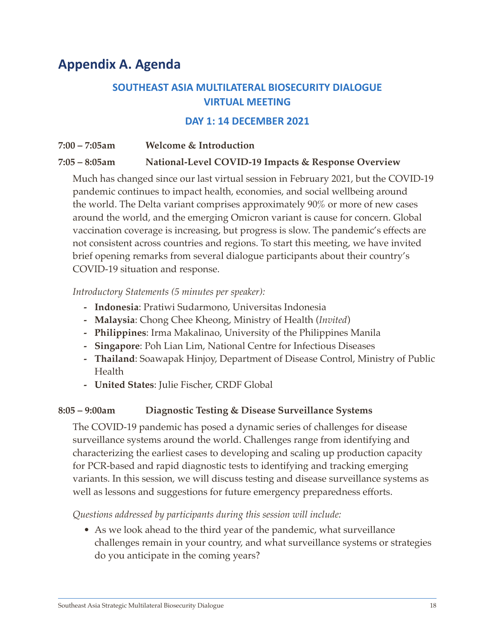### <span id="page-20-0"></span>**Appendix A. Agenda**

### **SOUTHEAST ASIA MULTILATERAL BIOSECURITY DIALOGUE VIRTUAL MEETING**

#### **DAY 1: 14 DECEMBER 2021**

### **7:00 – 7:05am Welcome & Introduction 7:05 – 8:05am National-Level COVID-19 Impacts & Response Overview**

Much has changed since our last virtual session in February 2021, but the COVID-19 pandemic continues to impact health, economies, and social wellbeing around the world. The Delta variant comprises approximately 90% or more of new cases around the world, and the emerging Omicron variant is cause for concern. Global vaccination coverage is increasing, but progress is slow. The pandemic's effects are not consistent across countries and regions. To start this meeting, we have invited brief opening remarks from several dialogue participants about their country's COVID-19 situation and response.

#### *Introductory Statements (5 minutes per speaker):*

- **- Indonesia**: Pratiwi Sudarmono, Universitas Indonesia
- **- Malaysia**: Chong Chee Kheong, Ministry of Health (*Invited*)
- **- Philippines**: Irma Makalinao, University of the Philippines Manila
- **- Singapore**: Poh Lian Lim, National Centre for Infectious Diseases
- **- Thailand**: Soawapak Hinjoy, Department of Disease Control, Ministry of Public Health
- **- United States**: Julie Fischer, CRDF Global

#### **8:05 – 9:00am Diagnostic Testing & Disease Surveillance Systems**

The COVID-19 pandemic has posed a dynamic series of challenges for disease surveillance systems around the world. Challenges range from identifying and characterizing the earliest cases to developing and scaling up production capacity for PCR-based and rapid diagnostic tests to identifying and tracking emerging variants. In this session, we will discuss testing and disease surveillance systems as well as lessons and suggestions for future emergency preparedness efforts.

*Questions addressed by participants during this session will include:*

• As we look ahead to the third year of the pandemic, what surveillance challenges remain in your country, and what surveillance systems or strategies do you anticipate in the coming years?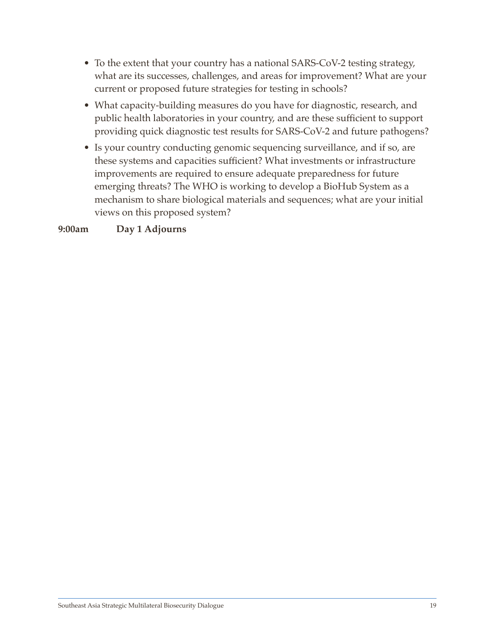- To the extent that your country has a national SARS-CoV-2 testing strategy, what are its successes, challenges, and areas for improvement? What are your current or proposed future strategies for testing in schools?
- What capacity-building measures do you have for diagnostic, research, and public health laboratories in your country, and are these sufficient to support providing quick diagnostic test results for SARS-CoV-2 and future pathogens?
- Is your country conducting genomic sequencing surveillance, and if so, are these systems and capacities sufficient? What investments or infrastructure improvements are required to ensure adequate preparedness for future emerging threats? The WHO is working to develop a BioHub System as a mechanism to share biological materials and sequences; what are your initial views on this proposed system?

**9:00am Day 1 Adjourns**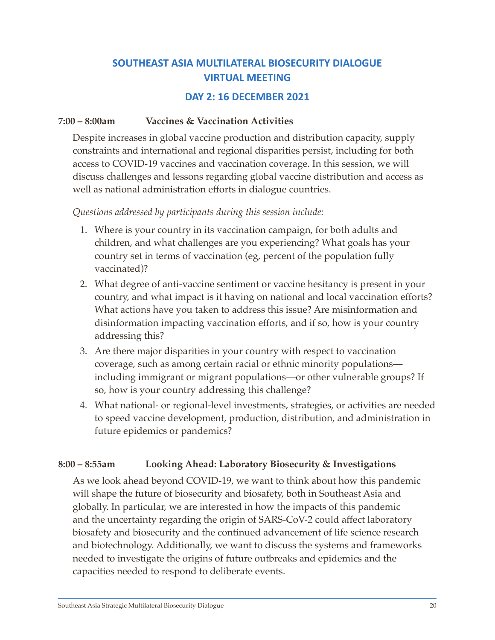### **SOUTHEAST ASIA MULTILATERAL BIOSECURITY DIALOGUE VIRTUAL MEETING**

#### **DAY 2: 16 DECEMBER 2021**

#### **7:00 – 8:00am Vaccines & Vaccination Activities**

Despite increases in global vaccine production and distribution capacity, supply constraints and international and regional disparities persist, including for both access to COVID-19 vaccines and vaccination coverage. In this session, we will discuss challenges and lessons regarding global vaccine distribution and access as well as national administration efforts in dialogue countries.

#### *Questions addressed by participants during this session include:*

- 1. Where is your country in its vaccination campaign, for both adults and children, and what challenges are you experiencing? What goals has your country set in terms of vaccination (eg, percent of the population fully vaccinated)?
- 2. What degree of anti-vaccine sentiment or vaccine hesitancy is present in your country, and what impact is it having on national and local vaccination efforts? What actions have you taken to address this issue? Are misinformation and disinformation impacting vaccination efforts, and if so, how is your country addressing this?
- 3. Are there major disparities in your country with respect to vaccination coverage, such as among certain racial or ethnic minority populations including immigrant or migrant populations—or other vulnerable groups? If so, how is your country addressing this challenge?
- 4. What national- or regional-level investments, strategies, or activities are needed to speed vaccine development, production, distribution, and administration in future epidemics or pandemics?

#### **8:00 – 8:55am Looking Ahead: Laboratory Biosecurity & Investigations**

As we look ahead beyond COVID-19, we want to think about how this pandemic will shape the future of biosecurity and biosafety, both in Southeast Asia and globally. In particular, we are interested in how the impacts of this pandemic and the uncertainty regarding the origin of SARS-CoV-2 could affect laboratory biosafety and biosecurity and the continued advancement of life science research and biotechnology. Additionally, we want to discuss the systems and frameworks needed to investigate the origins of future outbreaks and epidemics and the capacities needed to respond to deliberate events.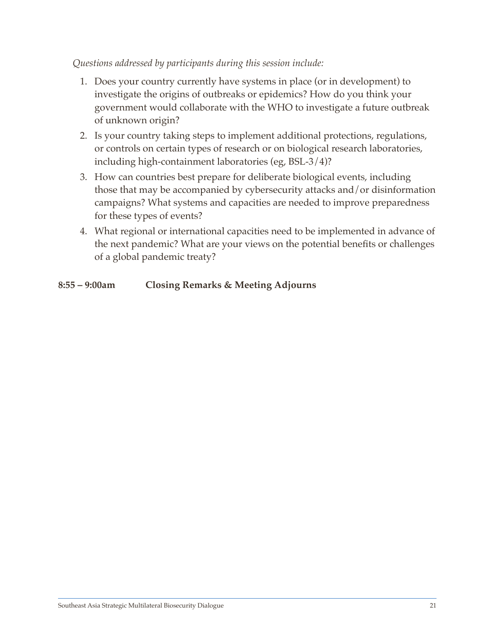#### *Questions addressed by participants during this session include:*

- 1. Does your country currently have systems in place (or in development) to investigate the origins of outbreaks or epidemics? How do you think your government would collaborate with the WHO to investigate a future outbreak of unknown origin?
- 2. Is your country taking steps to implement additional protections, regulations, or controls on certain types of research or on biological research laboratories, including high-containment laboratories (eg, BSL-3/4)?
- 3. How can countries best prepare for deliberate biological events, including those that may be accompanied by cybersecurity attacks and/or disinformation campaigns? What systems and capacities are needed to improve preparedness for these types of events?
- 4. What regional or international capacities need to be implemented in advance of the next pandemic? What are your views on the potential benefits or challenges of a global pandemic treaty?

#### **8:55 – 9:00am Closing Remarks & Meeting Adjourns**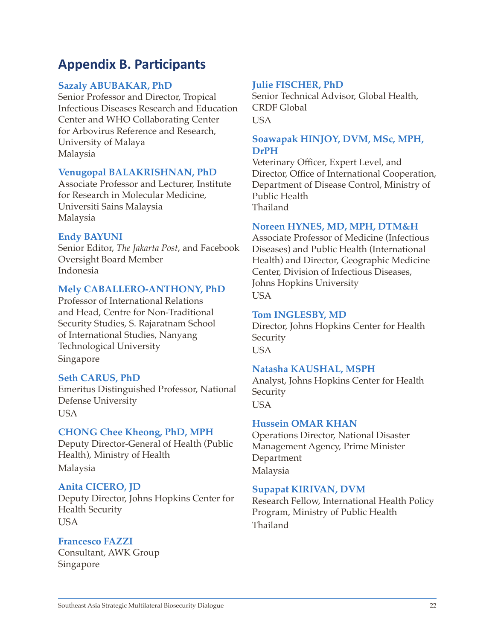### <span id="page-24-0"></span>**Appendix B. Participants**

#### **Sazaly ABUBAKAR, PhD**

Senior Professor and Director, Tropical Infectious Diseases Research and Education Center and WHO Collaborating Center for Arbovirus Reference and Research, University of Malaya Malaysia

#### **Venugopal BALAKRISHNAN, PhD**

Associate Professor and Lecturer, Institute for Research in Molecular Medicine, Universiti Sains Malaysia Malaysia

#### **Endy BAYUNI**

Senior Editor, *The Jakarta Post*, and Facebook Oversight Board Member Indonesia

#### **Mely CABALLERO-ANTHONY, PhD**

Professor of International Relations and Head, Centre for Non-Traditional Security Studies, S. Rajaratnam School of International Studies, Nanyang Technological University Singapore

#### **Seth CARUS, PhD**

Emeritus Distinguished Professor, National Defense University USA

#### **CHONG Chee Kheong, PhD, MPH**

Deputy Director-General of Health (Public Health), Ministry of Health Malaysia

#### **Anita CICERO, JD**

Deputy Director, Johns Hopkins Center for Health Security USA

**Francesco FAZZI** Consultant, AWK Group Singapore

#### **Julie FISCHER, PhD**

Senior Technical Advisor, Global Health, CRDF Global USA

#### **Soawapak HINJOY, DVM, MSc, MPH, DrPH**

Veterinary Officer, Expert Level, and Director, Office of International Cooperation, Department of Disease Control, Ministry of Public Health Thailand

#### **Noreen HYNES, MD, MPH, DTM&H**

Associate Professor of Medicine (Infectious Diseases) and Public Health (International Health) and Director, Geographic Medicine Center, Division of Infectious Diseases, Johns Hopkins University USA

#### **Tom INGLESBY, MD**

Director, Johns Hopkins Center for Health Security **USA** 

#### **Natasha KAUSHAL, MSPH**

Analyst, Johns Hopkins Center for Health Security USA

#### **Hussein OMAR KHAN**

Operations Director, National Disaster Management Agency, Prime Minister Department Malaysia

#### **Supapat KIRIVAN, DVM**

Research Fellow, International Health Policy Program, Ministry of Public Health Thailand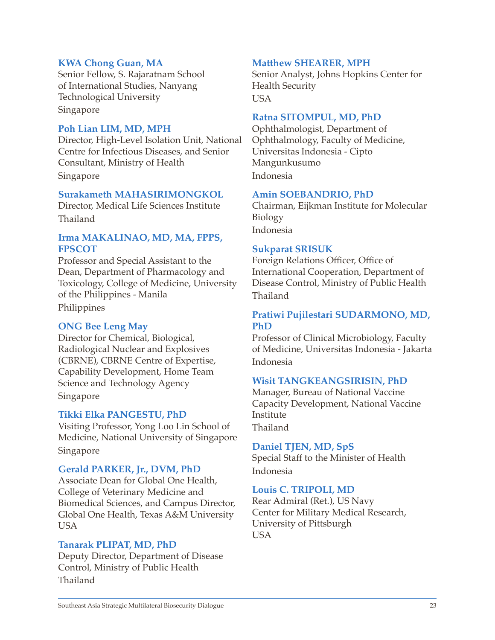#### **KWA Chong Guan, MA**

Senior Fellow, S. Rajaratnam School of International Studies, Nanyang Technological University Singapore

#### **Poh Lian LIM, MD, MPH**

Director, High-Level Isolation Unit, National Centre for Infectious Diseases, and Senior Consultant, Ministry of Health Singapore

#### **Surakameth MAHASIRIMONGKOL**

Director, Medical Life Sciences Institute Thailand

#### **Irma MAKALINAO, MD, MA, FPPS, FPSCOT**

Professor and Special Assistant to the Dean, Department of Pharmacology and Toxicology, College of Medicine, University of the Philippines - Manila Philippines

#### **ONG Bee Leng May**

Director for Chemical, Biological, Radiological Nuclear and Explosives (CBRNE), CBRNE Centre of Expertise, Capability Development, Home Team Science and Technology Agency Singapore

#### **Tikki Elka PANGESTU, PhD**

Visiting Professor, Yong Loo Lin School of Medicine, National University of Singapore Singapore

#### **Gerald PARKER, Jr., DVM, PhD**

Associate Dean for Global One Health, College of Veterinary Medicine and Biomedical Sciences, and Campus Director, Global One Health, Texas A&M University **USA** 

#### **Tanarak PLIPAT, MD, PhD**

Deputy Director, Department of Disease Control, Ministry of Public Health Thailand

#### **Matthew SHEARER, MPH**

Senior Analyst, Johns Hopkins Center for Health Security USA

#### **Ratna SITOMPUL, MD, PhD**

Ophthalmologist, Department of Ophthalmology, Faculty of Medicine, Universitas Indonesia - Cipto Mangunkusumo Indonesia

#### **Amin SOEBANDRIO, PhD**

Chairman, Eijkman Institute for Molecular Biology Indonesia

#### **Sukparat SRISUK**

Foreign Relations Officer, Office of International Cooperation, Department of Disease Control, Ministry of Public Health Thailand

#### **Pratiwi Pujilestari SUDARMONO, MD, PhD**

Professor of Clinical Microbiology, Faculty of Medicine, Universitas Indonesia - Jakarta Indonesia

#### **Wisit TANGKEANGSIRISIN, PhD**

Manager, Bureau of National Vaccine Capacity Development, National Vaccine Institute Thailand

#### **Daniel TJEN, MD, SpS**

Special Staff to the Minister of Health Indonesia

#### **Louis C. TRIPOLI, MD**

Rear Admiral (Ret.), US Navy Center for Military Medical Research, University of Pittsburgh USA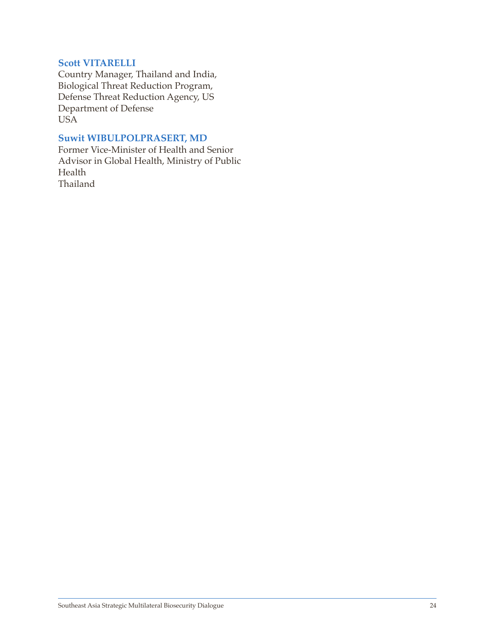#### **Scott VITARELLI**

Country Manager, Thailand and India, Biological Threat Reduction Program, Defense Threat Reduction Agency, US Department of Defense USA

#### **Suwit WIBULPOLPRASERT, MD**

Former Vice-Minister of Health and Senior Advisor in Global Health, Ministry of Public Health Thailand